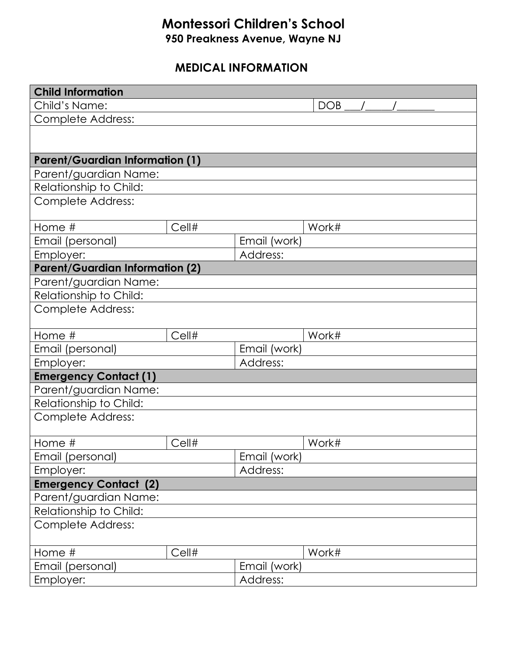## **Montessori Children's School 950 Preakness Avenue, Wayne NJ**

## **MEDICAL INFORMATION**

| <b>Child Information</b>                    |          |              |       |  |  |  |  |  |  |
|---------------------------------------------|----------|--------------|-------|--|--|--|--|--|--|
| Child's Name:                               |          |              | DOB   |  |  |  |  |  |  |
| Complete Address:                           |          |              |       |  |  |  |  |  |  |
|                                             |          |              |       |  |  |  |  |  |  |
|                                             |          |              |       |  |  |  |  |  |  |
| <b>Parent/Guardian Information (1)</b>      |          |              |       |  |  |  |  |  |  |
| Parent/guardian Name:                       |          |              |       |  |  |  |  |  |  |
| Relationship to Child:                      |          |              |       |  |  |  |  |  |  |
| Complete Address:                           |          |              |       |  |  |  |  |  |  |
|                                             |          |              |       |  |  |  |  |  |  |
| Home #                                      | Cell#    |              | Work# |  |  |  |  |  |  |
| Email (personal)                            |          | Email (work) |       |  |  |  |  |  |  |
| Employer:                                   | Address: |              |       |  |  |  |  |  |  |
| <b>Parent/Guardian Information (2)</b>      |          |              |       |  |  |  |  |  |  |
| Parent/guardian Name:                       |          |              |       |  |  |  |  |  |  |
| Relationship to Child:                      |          |              |       |  |  |  |  |  |  |
| <b>Complete Address:</b>                    |          |              |       |  |  |  |  |  |  |
|                                             |          |              |       |  |  |  |  |  |  |
| Home #                                      | Cell#    |              | Work# |  |  |  |  |  |  |
| Email (personal)                            |          | Email (work) |       |  |  |  |  |  |  |
| Employer:                                   |          | Address:     |       |  |  |  |  |  |  |
| <b>Emergency Contact (1)</b>                |          |              |       |  |  |  |  |  |  |
| Parent/guardian Name:                       |          |              |       |  |  |  |  |  |  |
| Relationship to Child:                      |          |              |       |  |  |  |  |  |  |
| <b>Complete Address:</b>                    |          |              |       |  |  |  |  |  |  |
|                                             |          |              |       |  |  |  |  |  |  |
| Home #                                      | Cell#    |              | Work# |  |  |  |  |  |  |
| Email (personal)                            |          | Email (work) |       |  |  |  |  |  |  |
| Employer:                                   |          | Address:     |       |  |  |  |  |  |  |
| <b>Emergency Contact (2)</b>                |          |              |       |  |  |  |  |  |  |
| Parent/guardian Name:                       |          |              |       |  |  |  |  |  |  |
| Relationship to Child:<br>Complete Address: |          |              |       |  |  |  |  |  |  |
|                                             |          |              |       |  |  |  |  |  |  |
| Home #                                      | Cell#    |              | Work# |  |  |  |  |  |  |
| Email (personal)                            |          | Email (work) |       |  |  |  |  |  |  |
|                                             |          | Address:     |       |  |  |  |  |  |  |
| Employer:                                   |          |              |       |  |  |  |  |  |  |